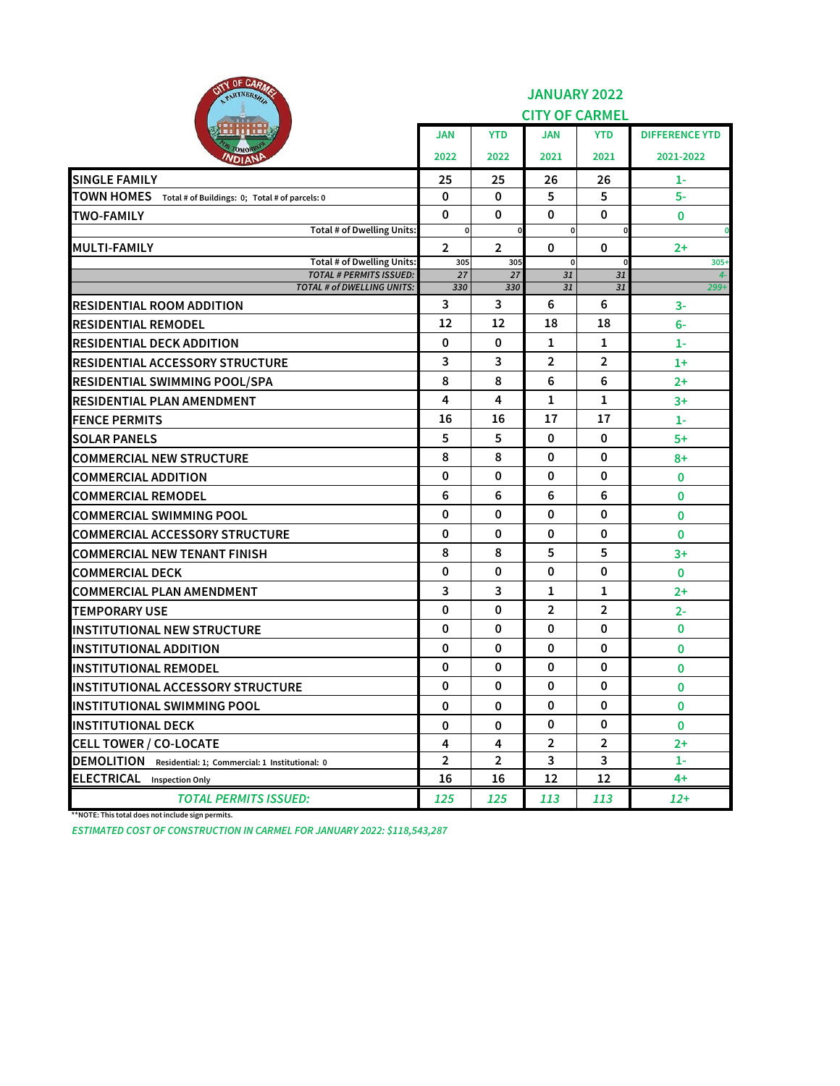| <b>ITY OF CARA</b><br>PARTNERSA                                     | <b>JANUARY 2022</b><br><b>CITY OF CARMEL</b> |                |                |                |                       |  |
|---------------------------------------------------------------------|----------------------------------------------|----------------|----------------|----------------|-----------------------|--|
|                                                                     | <b>JAN</b>                                   | <b>YTD</b>     | JAN            | <b>YTD</b>     | <b>DIFFERENCE YTD</b> |  |
| OMOR<br><i><b>NDIANP</b></i>                                        | 2022                                         | 2022           | 2021           | 2021           | 2021-2022             |  |
| <b>SINGLE FAMILY</b>                                                | 25                                           | 25             | 26             | 26             | 1-                    |  |
| TOWN HOMES Total # of Buildings: 0; Total # of parcels: 0           | 0                                            | $\Omega$       | 5              | 5              | $5-$                  |  |
| <b>TWO-FAMILY</b>                                                   | $\mathbf 0$                                  | $\mathbf 0$    | 0              | 0              | 0                     |  |
| Total # of Dwelling Units:                                          | 0                                            | 0              | 0              |                | $\mathbf 0$           |  |
| <b>MULTI-FAMILY</b>                                                 | $\overline{2}$                               | $\overline{2}$ | $\mathbf 0$    | 0              | $2+$                  |  |
| Total # of Dwelling Units:<br><b>TOTAL # PERMITS ISSUED:</b>        | 305<br>27                                    | 305<br>27      | 0<br>31        | 31             | $305+$<br>$4-$        |  |
| TOTAL # of DWELLING UNITS:                                          | 330                                          | 330            | 31             | 31             | $299+$                |  |
| <b>RESIDENTIAL ROOM ADDITION</b>                                    | 3                                            | 3              | 6              | 6              | 3-                    |  |
| <b>RESIDENTIAL REMODEL</b>                                          | 12                                           | 12             | 18             | 18             | 6-                    |  |
| <b>RESIDENTIAL DECK ADDITION</b>                                    | $\mathbf 0$                                  | 0              | 1              | 1              | $1-$                  |  |
| <b>RESIDENTIAL ACCESSORY STRUCTURE</b>                              | 3                                            | 3              | $\overline{2}$ | $\overline{2}$ | $1+$                  |  |
| <b>RESIDENTIAL SWIMMING POOL/SPA</b>                                | 8                                            | 8              | 6              | 6              | $2+$                  |  |
| IRESIDENTIAL PLAN AMENDMENT                                         | 4                                            | 4              | 1              | 1              | $3+$                  |  |
| <b>FENCE PERMITS</b>                                                | 16                                           | 16             | 17             | 17             | $1-$                  |  |
| <b>SOLAR PANELS</b>                                                 | 5                                            | 5              | 0              | 0              | $5+$                  |  |
| <b>COMMERCIAL NEW STRUCTURE</b>                                     | 8                                            | 8              | 0              | 0              | $8+$                  |  |
| <b>COMMERCIAL ADDITION</b>                                          | 0                                            | 0              | $\mathbf 0$    | 0              | 0                     |  |
| <b>COMMERCIAL REMODEL</b>                                           | 6                                            | 6              | 6              | 6              | 0                     |  |
| <b>COMMERCIAL SWIMMING POOL</b>                                     | 0                                            | 0              | 0              | 0              | 0                     |  |
| <b>COMMERCIAL ACCESSORY STRUCTURE</b>                               | 0                                            | 0              | 0              | 0              | 0                     |  |
| <b>COMMERCIAL NEW TENANT FINISH</b>                                 | 8                                            | 8              | 5              | 5              | 3+                    |  |
| <b>COMMERCIAL DECK</b>                                              | 0                                            | 0              | 0              | 0              | 0                     |  |
| <b>COMMERCIAL PLAN AMENDMENT</b>                                    | 3                                            | 3              | 1              | 1              | $2+$                  |  |
| <b>TEMPORARY USE</b>                                                | 0                                            | 0              | 2              | $\overline{2}$ | $2 -$                 |  |
| <b>INSTITUTIONAL NEW STRUCTURE</b>                                  | 0                                            | 0              | 0              | 0              | $\mathbf{0}$          |  |
| <b>INSTITUTIONAL ADDITION</b>                                       | 0                                            | 0              | 0              | 0              | 0                     |  |
| <b>INSTITUTIONAL REMODEL</b>                                        | 0                                            | 0              | 0              | 0              | 0                     |  |
| <b>INSTITUTIONAL ACCESSORY STRUCTURE</b>                            | 0                                            | 0              | 0              | 0              | 0                     |  |
| <b>INSTITUTIONAL SWIMMING POOL</b>                                  | 0                                            | 0              | 0              | 0              | 0                     |  |
| <b>INSTITUTIONAL DECK</b>                                           | 0                                            | 0              | 0              | 0              | $\mathbf 0$           |  |
| <b>CELL TOWER / CO-LOCATE</b>                                       | 4                                            | 4              | $\overline{2}$ | $\overline{2}$ | $2+$                  |  |
| <b>DEMOLITION</b><br>Residential: 1; Commercial: 1 Institutional: 0 | $\overline{2}$                               | $\overline{2}$ | 3              | 3              | $1 -$                 |  |
| <b>ELECTRICAL</b> Inspection Only                                   | 16                                           | 16             | 12             | 12             | 4+                    |  |
| <b>TOTAL PERMITS ISSUED:</b>                                        | 125                                          | 125            | 113            | 113            | $12+$                 |  |

**\*\*NOTE: This total does not include sign permits.**

*ESTIMATED COST OF CONSTRUCTION IN CARMEL FOR JANUARY 2022: \$118,543,287*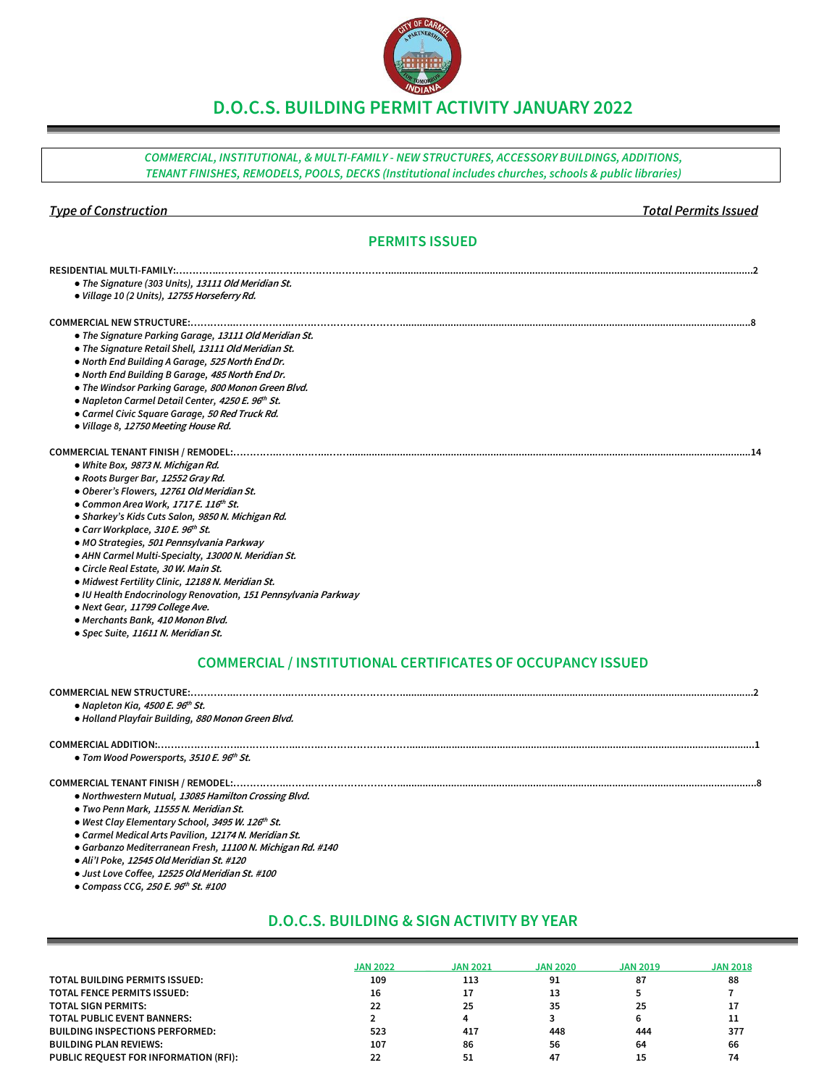# **D.O.C.S. BUILDING PERMIT ACTIVITY JANUARY 2022**

*COMMERCIAL, INSTITUTIONAL, & MULTI-FAMILY - NEW STRUCTURES, ACCESSORY BUILDINGS, ADDITIONS, TENANT FINISHES, REMODELS, POOLS, DECKS (Institutional includes churches, schools & public libraries)*

## *Type of Construction Total Permits Issued*

# **PERMITS ISSUED**

| <b>RESIDENTIAL MULTI-FAMILY:</b>                               |
|----------------------------------------------------------------|
| • The Signature (303 Units), 13111 Old Meridian St.            |
| · Village 10 (2 Units), 12755 Horseferry Rd.                   |
|                                                                |
| • The Signature Parking Garage, 13111 Old Meridian St.         |
| • The Signature Retail Shell, 13111 Old Meridian St.           |
| • North End Building A Garage, 525 North End Dr.               |
| . North End Building B Garage, 485 North End Dr.               |
| • The Windsor Parking Garage, 800 Monon Green Blvd.            |
| • Napleton Carmel Detail Center, 4250 E. 96th St.              |
| • Carmel Civic Square Garage, 50 Red Truck Rd.                 |
| · Village 8, 12750 Meeting House Rd.                           |
| COMMERCIAL TENANT FINISH / REMODEL:                            |
| • White Box, 9873 N. Michigan Rd.                              |
| · Roots Burger Bar, 12552 Gray Rd.                             |
| · Oberer's Flowers, 12761 Old Meridian St.                     |
| • Common Area Work, 1717 E. 116 <sup>th</sup> St.              |
| · Sharkey's Kids Cuts Salon, 9850 N. Michigan Rd.              |
| • Carr Workplace, 310 E. 96th St.                              |
| • MO Strategies, 501 Pennsylvania Parkway                      |
| • AHN Carmel Multi-Specialty, 13000 N. Meridian St.            |
| • Circle Real Estate, 30 W. Main St.                           |
| · Midwest Fertility Clinic, 12188 N. Meridian St.              |
| • IU Health Endocrinology Renovation, 151 Pennsylvania Parkway |
| · Next Gear, 11799 College Ave.                                |
| · Merchants Bank, 410 Monon Blvd.                              |
| · Spec Suite, 11611 N. Meridian St.                            |
|                                                                |

# **COMMERCIAL / INSTITUTIONAL CERTIFICATES OF OCCUPANCY ISSUED**

## **COMMERCIAL NEW STRUCTURE:…………..……………..…….………………………............................................................................................................................2**

*● Napleton Kia,* **4500 E. 96 th St.**

*● Holland Playfair Building,* **880 Monon Green Blvd.**

### **COMMERCIAL ADDITION:……………………..……………..…….………………………..........................................................................................................................1**

*● Tom Wood Powersports,* **3510 E. 96 th St.**

# **COMMERCIAL TENANT FINISH / REMODEL:……………..…….………………………..............................................................................................................................8**

- *● Northwestern Mutual,* **13085 Hamilton Crossing Blvd.**
- *● Two Penn Mark,* **11555 N. Meridian St.**
- *● West Clay Elementary School,* **3495 W. 126 th St.**
- *● Carmel Medical Arts Pavilion,* **12174 N. Meridian St.**
- *● Garbanzo Mediterranean Fresh,* **11100 N. Michigan Rd. #140**
- *● Ali'I Poke,* **12545 Old Meridian St. #120**
- *● Just Love Coffee,* **12525 Old Meridian St. #100**
- *● Compass CCG,* **250 E. 96 th St. #100**

# **D.O.C.S. BUILDING & SIGN ACTIVITY BY YEAR**

|                                        | <b>JAN 2022</b> | <b>JAN 2021</b> | <b>JAN 2020</b> | <b>JAN 2019</b> | <b>JAN 2018</b> |
|----------------------------------------|-----------------|-----------------|-----------------|-----------------|-----------------|
| TOTAL BUILDING PERMITS ISSUED:         | 109             | 113             | 91              | 87              | 88              |
| <b>TOTAL FENCE PERMITS ISSUED:</b>     | 16              |                 | 13              |                 |                 |
| <b>TOTAL SIGN PERMITS:</b>             | 22              | 25              | 35              | 25              | 17              |
| <b>TOTAL PUBLIC EVENT BANNERS:</b>     |                 | 4               |                 |                 | 11              |
| <b>BUILDING INSPECTIONS PERFORMED:</b> | 523             | 417             | 448             | 444             | 377             |
| <b>BUILDING PLAN REVIEWS:</b>          | 107             | 86              | 56              | 64              | 66              |
| PUBLIC REOUEST FOR INFORMATION (RFI):  |                 | 51              | 47              |                 | 74              |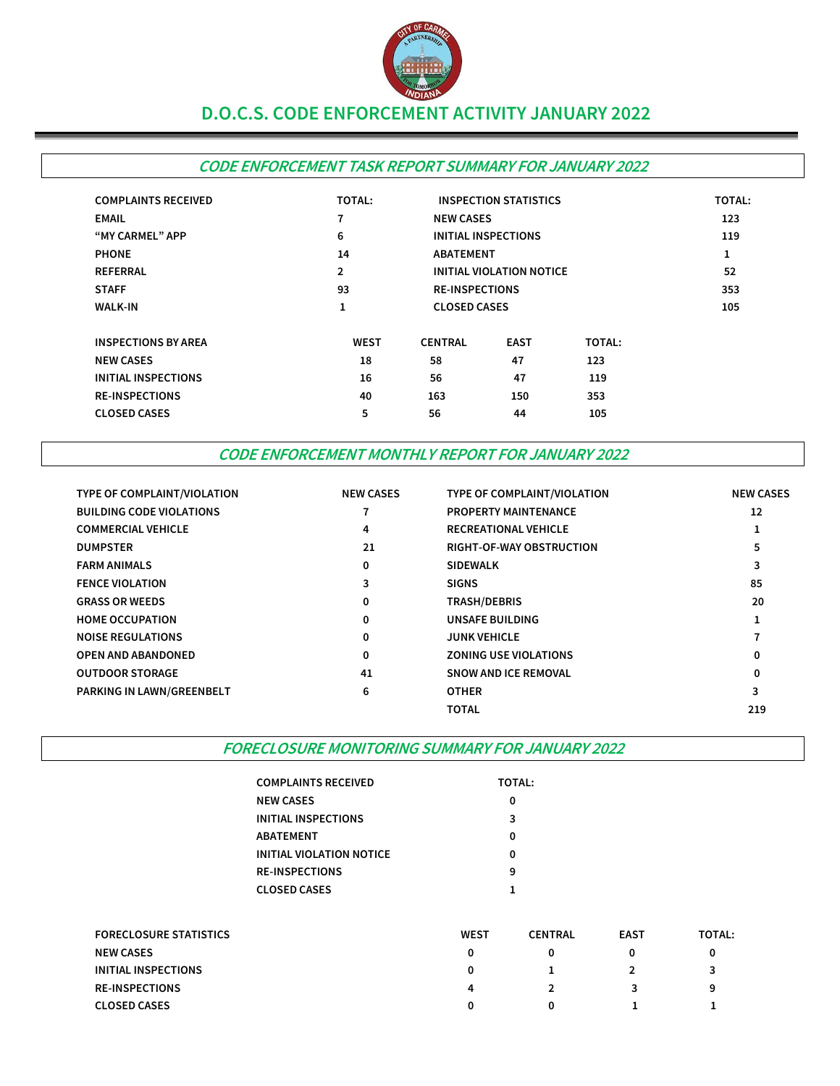

# **D.O.C.S. CODE ENFORCEMENT ACTIVITY JANUARY 2022**

# **CODE ENFORCEMENT TASK REPORT SUMMARY FOR JANUARY 2022**

| <b>COMPLAINTS RECEIVED</b> | <b>TOTAL:</b>  | <b>INSPECTION STATISTICS</b> |                                 | <b>TOTAL:</b> |     |  |  |
|----------------------------|----------------|------------------------------|---------------------------------|---------------|-----|--|--|
| <b>EMAIL</b>               | 7              | <b>NEW CASES</b>             |                                 |               | 123 |  |  |
| "MY CARMEL" APP            | 6              |                              | INITIAL INSPECTIONS             |               |     |  |  |
| <b>PHONE</b>               | 14             |                              | <b>ABATEMENT</b>                |               |     |  |  |
| <b>REFERRAL</b>            | $\overline{2}$ |                              | <b>INITIAL VIOLATION NOTICE</b> |               |     |  |  |
| <b>STAFF</b>               | 93             |                              | <b>RE-INSPECTIONS</b>           |               |     |  |  |
| <b>WALK-IN</b>             | 1              |                              | <b>CLOSED CASES</b>             |               |     |  |  |
| <b>INSPECTIONS BY AREA</b> | <b>WEST</b>    | <b>CENTRAL</b>               | <b>EAST</b>                     | <b>TOTAL:</b> |     |  |  |
| <b>NEW CASES</b>           | 18             | 58                           | 47                              | 123           |     |  |  |
| <b>INITIAL INSPECTIONS</b> | 16             | 56                           | 47                              | 119           |     |  |  |
| <b>RE-INSPECTIONS</b>      | 40             | 163                          | 150                             | 353           |     |  |  |
| <b>CLOSED CASES</b>        | 5              | 56                           | 44                              | 105           |     |  |  |

# **CODE ENFORCEMENT MONTHLY REPORT FOR JANUARY 2022**

| TYPE OF COMPLAINT/VIOLATION     | <b>NEW CASES</b> | TYPE OF COMPLAINT/VIOLATION     | <b>NEW CASES</b> |
|---------------------------------|------------------|---------------------------------|------------------|
| <b>BUILDING CODE VIOLATIONS</b> |                  | <b>PROPERTY MAINTENANCE</b>     | 12               |
| <b>COMMERCIAL VEHICLE</b>       | 4                | <b>RECREATIONAL VEHICLE</b>     |                  |
| <b>DUMPSTER</b>                 | 21               | <b>RIGHT-OF-WAY OBSTRUCTION</b> |                  |
| <b>FARM ANIMALS</b>             | 0                | <b>SIDEWALK</b>                 | 3                |
| <b>FENCE VIOLATION</b>          | 3                | <b>SIGNS</b>                    | 85               |
| <b>GRASS OR WEEDS</b>           | 0                | <b>TRASH/DEBRIS</b>             | 20               |
| <b>HOME OCCUPATION</b>          | 0                | <b>UNSAFE BUILDING</b>          |                  |
| <b>NOISE REGULATIONS</b>        | 0                | <b>JUNK VEHICLE</b>             |                  |
| <b>OPEN AND ABANDONED</b>       | 0                | <b>ZONING USE VIOLATIONS</b>    |                  |
| <b>OUTDOOR STORAGE</b>          | 41               | <b>SNOW AND ICE REMOVAL</b>     |                  |
| PARKING IN LAWN/GREENBELT       | 6                | <b>OTHER</b>                    | 3                |
|                                 |                  | <b>TOTAL</b>                    | 219              |

**FORECLOSURE MONITORING SUMMARY FOR JANUARY 2022**

| COMPLAINTS RECEIVED      | <b>TOTAL:</b> |
|--------------------------|---------------|
| NEW CASES                | 0             |
| INITIAL INSPECTIONS      | 3             |
| ABATEMENT                | 0             |
| INITIAL VIOLATION NOTICE | ŋ             |
| <b>RE-INSPECTIONS</b>    | 9             |
| CLOSED CASES             |               |

| <b>FORECLOSURE STATISTICS</b> | <b>WEST</b> | <b>CENTRAL</b> | <b>EAST</b> | <b>TOTAL:</b> |
|-------------------------------|-------------|----------------|-------------|---------------|
| <b>NEW CASES</b>              | 0           |                |             |               |
| INITIAL INSPECTIONS           | 0           |                |             |               |
| <b>RE-INSPECTIONS</b>         | 4           |                |             | 9             |
| <b>CLOSED CASES</b>           | 0           |                |             |               |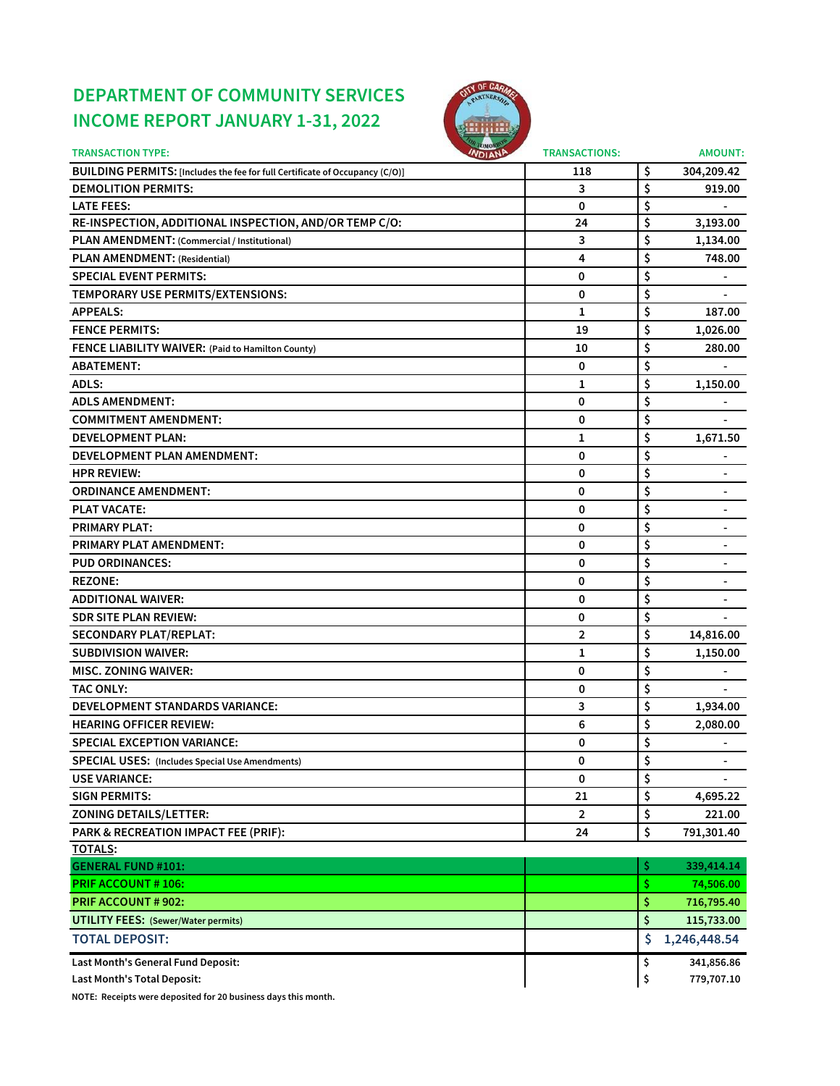# **DEPARTMENT OF COMMUNITY SERVICES INCOME REPORT JANUARY 1-31, 2022**



| <b>TRANSACTION TYPE:</b>                                                     | томон<br><b>INDIANA</b><br><b>TRANSACTIONS:</b> |     | <b>AMOUNT:</b>           |
|------------------------------------------------------------------------------|-------------------------------------------------|-----|--------------------------|
| BUILDING PERMITS: [Includes the fee for full Certificate of Occupancy (C/O)] | 118                                             | \$  | 304,209.42               |
| <b>DEMOLITION PERMITS:</b>                                                   | 3                                               | \$  | 919.00                   |
| <b>LATE FEES:</b>                                                            | 0                                               | \$  |                          |
| RE-INSPECTION, ADDITIONAL INSPECTION, AND/OR TEMP C/O:                       | 24                                              | \$  | 3,193.00                 |
| PLAN AMENDMENT: (Commercial / Institutional)                                 | 3                                               | \$  | 1,134.00                 |
| PLAN AMENDMENT: (Residential)                                                | 4                                               | \$  | 748.00                   |
| <b>SPECIAL EVENT PERMITS:</b>                                                | 0                                               | \$  |                          |
| TEMPORARY USE PERMITS/EXTENSIONS:                                            | 0                                               | \$  |                          |
| <b>APPEALS:</b>                                                              | 1                                               | \$  | 187.00                   |
| <b>FENCE PERMITS:</b>                                                        | 19                                              | \$  | 1,026.00                 |
| FENCE LIABILITY WAIVER: (Paid to Hamilton County)                            | 10                                              | \$  | 280.00                   |
| <b>ABATEMENT:</b>                                                            | 0                                               | \$  |                          |
| <b>ADLS:</b>                                                                 | 1                                               | \$  | 1,150.00                 |
| <b>ADLS AMENDMENT:</b>                                                       | 0                                               | \$  |                          |
| <b>COMMITMENT AMENDMENT:</b>                                                 | 0                                               | \$  |                          |
| <b>DEVELOPMENT PLAN:</b>                                                     | 1                                               | \$  | 1,671.50                 |
| <b>DEVELOPMENT PLAN AMENDMENT:</b>                                           | 0                                               | \$  |                          |
| <b>HPR REVIEW:</b>                                                           | 0                                               | \$  |                          |
| <b>ORDINANCE AMENDMENT:</b>                                                  | 0                                               | \$  |                          |
| <b>PLAT VACATE:</b>                                                          | 0                                               | \$  |                          |
| <b>PRIMARY PLAT:</b>                                                         | 0                                               | \$  | $\blacksquare$           |
| <b>PRIMARY PLAT AMENDMENT:</b>                                               | 0                                               | \$  |                          |
| <b>PUD ORDINANCES:</b>                                                       | 0                                               | \$  | $\blacksquare$           |
| <b>REZONE:</b>                                                               | 0                                               | \$  | $\overline{\phantom{a}}$ |
| <b>ADDITIONAL WAIVER:</b>                                                    | 0                                               | \$  |                          |
| <b>SDR SITE PLAN REVIEW:</b>                                                 | 0                                               | \$  |                          |
| <b>SECONDARY PLAT/REPLAT:</b>                                                | 2                                               | \$  | 14,816.00                |
| <b>SUBDIVISION WAIVER:</b>                                                   | 1                                               | \$  | 1,150.00                 |
| <b>MISC. ZONING WAIVER:</b>                                                  | 0                                               | \$  | $\blacksquare$           |
| <b>TAC ONLY:</b>                                                             | 0                                               | \$  |                          |
| <b>DEVELOPMENT STANDARDS VARIANCE:</b>                                       | 3                                               | \$  | 1,934.00                 |
| <b>HEARING OFFICER REVIEW:</b>                                               | 6                                               | \$  | 2,080.00                 |
| <b>SPECIAL EXCEPTION VARIANCE:</b>                                           | 0                                               | \$  | $\blacksquare$           |
| <b>SPECIAL USES: (Includes Special Use Amendments)</b>                       | 0                                               | Ş   | $\blacksquare$           |
| <b>USE VARIANCE:</b>                                                         | 0                                               | \$  |                          |
| <b>SIGN PERMITS:</b>                                                         | 21                                              | \$  | 4,695.22                 |
| <b>ZONING DETAILS/LETTER:</b>                                                | $\overline{2}$                                  | \$  | 221.00                   |
| PARK & RECREATION IMPACT FEE (PRIF):                                         | 24                                              | \$  | 791,301.40               |
| TOTALS:                                                                      |                                                 |     |                          |
| <b>GENERAL FUND #101:</b>                                                    |                                                 | \$  | 339,414.14               |
| <b>PRIF ACCOUNT # 106:</b>                                                   |                                                 | \$. | 74,506.00                |
| <b>PRIF ACCOUNT # 902:</b>                                                   |                                                 | \$  | 716,795.40               |
| <b>UTILITY FEES: (Sewer/Water permits)</b>                                   |                                                 | \$  | 115,733.00               |
| <b>TOTAL DEPOSIT:</b>                                                        |                                                 | \$  | 1,246,448.54             |
| Last Month's General Fund Deposit:                                           |                                                 | \$  | 341,856.86               |
| Last Month's Total Deposit:                                                  |                                                 | \$  | 779,707.10               |

**NOTE: Receipts were deposited for 20 business days this month.**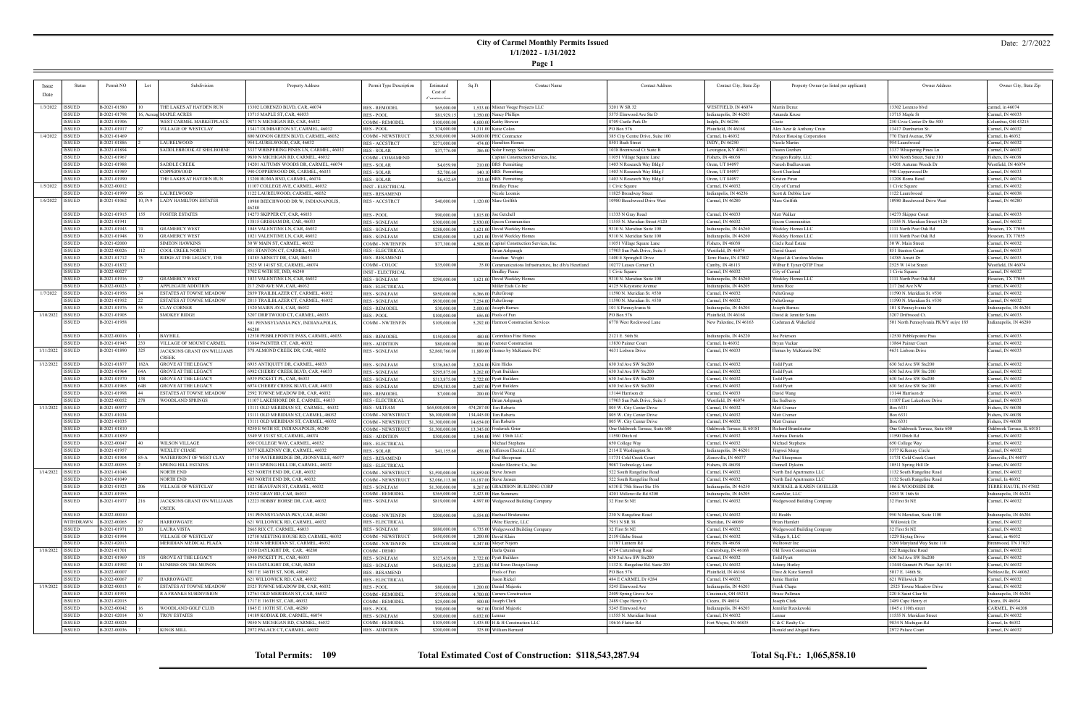# **City of Carmel Monthly Permits Issued 1/1/2022 - 1/31/2022**

**Page 1**

## Date: 2/7/2022

|                    | Status        | Permit NO    | Lot      | Subdivision                    | Property Address                        | Permit Type Description  | Estimated       | Sq Ft<br><b>Contact Name</b>                             | <b>Contact Address</b>           | Contact City, State Zip    | Property Owner (as listed per applicant) | Owner Address                         | Owner City, State Zip      |
|--------------------|---------------|--------------|----------|--------------------------------|-----------------------------------------|--------------------------|-----------------|----------------------------------------------------------|----------------------------------|----------------------------|------------------------------------------|---------------------------------------|----------------------------|
| <b>Issue</b>       |               |              |          |                                |                                         |                          | Cost of         |                                                          |                                  |                            |                                          |                                       |                            |
| Date               |               |              |          |                                |                                         |                          |                 |                                                          |                                  |                            |                                          |                                       |                            |
|                    |               |              |          |                                |                                         |                          |                 |                                                          |                                  |                            |                                          |                                       |                            |
| 1/3/2022   ISSUED  |               | B-2021-01580 |          | THE LAKES AT HAYDEN RUN        | 3302 LORENZO BLVD, CAR, 46074           | <b>RES - REMODEL</b>     | \$65,000.00     | 1,533.00 Misner Voege Projects LLC                       | 3201 W SR 32                     | WESTFIELD, IN 46074        | Martin Deruz                             | 13302 Lorenzo blvd                    | carmel, in 46074           |
|                    | ISSUED        | B-2021-01798 |          | 16, Acreas MAPLE ACRES         | 13715 MAPLE ST, CAR, 46033              | <b>RES - POOL</b>        | \$81,929.1      | 1,350.00 Nancy Phillips                                  | 5575 Elmwood Ave Ste D           | Indianapolis, IN 46203     | Amanda Kruse                             | 13715 Maple St                        | Carmel, IN 46033           |
|                    | <b>ISSUED</b> | B-2021-01906 |          | WEST CARMEL MARKETPLACE        | 9873 N MICHIGAN RD, CAR, 46032          | COMM - REMODEI           | \$100,000.00    | 4,600.00 Kathy Brewer                                    | 8709 Castle Park Dr              | Indpls, IN $46256$         | Casto                                    | 250 Civic Center Dr Ste 500           | Columbus, OH 43215         |
|                    | ISSUED        | B-2021-01917 |          | VILLAGE OF WESTCLAY            | 13417 DUMBARTON ST, CARMEL, 46032       | <b>RES - POOL</b>        | \$74,000.00     | 1.311.00 Katie Colon                                     | PO Box 576                       | Plainfield, IN 46168       | Alex Azar & Anthony Crain                | 13417 Dumbarton St.                   | Carmel, IN 46032           |
|                    | <b>ISSUED</b> | B-2021-01469 |          |                                | 800 MONON GREEN BLVD, CARMEL, 46032     | COMM - NEWSTRUCT         |                 |                                                          | 385 City Centre Drive, Suite 100 | Carmel, In 46032           |                                          | 770 Third Avenue, SW                  | Carmel, In 46032           |
| 1/4/2022           |               |              |          |                                |                                         |                          | \$5,500,000.00  | 34,000.00 PHC Contractor                                 |                                  |                            | Pedcor Housing Corporation               |                                       |                            |
|                    | <b>ISSUED</b> | B-2021-01886 |          | LAURELWOOD                     | 954 LAURELWOOD, CAR, 46032              | <b>RES - ACCSTRCT</b>    | \$271,000.0     | 474.00 Hamilton Homes                                    | 8501 Bash Street                 | INDY, IN 46250             | Nicole Martin                            | 954 Laurelwood                        | Carmel, IN 46032           |
|                    | <b>ISSUED</b> | B-2021-01894 |          | SADDLEBROOK AT SHELBORNE       | 3337 WHISPERING PINES LN, CARMEL, 46032 | <b>RES - SOLAR</b>       | \$37,776.00     | 386.00 Solar Energy Solutions                            | 1038 Brentwood Ct Suite B        | Lexington, KY 4051         | Dustin Grethen                           | 3337 Whispering Pines Ln              | Carmel, IN 46032           |
|                    | <b>ISSUED</b> | B-2021-01967 |          |                                | 9830 N MICHIGAN RD, CARMEL, 46032       | COMM - COMAMEND          |                 | Capitol Construction Services, Inc.                      | 11051 Village Square Lane        | Fishers, IN 46038          | Paragon Realty, LLC                      | 8700 North Street, Suite 310          | Fishers, IN 46038          |
|                    | <b>ISSUED</b> | B-2021-01988 |          | SADDLE CREEK                   | 14201 AUTUMN WOODS DR, CARMEL, 46074    | <b>RES - SOLAR</b>       | \$4,059.90      | 210.00 BRS Permitting                                    | 1403 N Research Way Bldg         | Orem, UT 84097             | Naresh Budhavaran                        | 14201 Autumn Woods Dr                 | Westfield, IN 46074        |
|                    | <b>ISSUED</b> | B-2021-01989 |          | COPPERWOOD                     | 940 COPPERWOOD DR, CARMEL, 46033        | <b>RES - SOLAR</b>       | \$2,706.60      | 140.10 BRS Permitting                                    | 1403 N Research Way Bldg.        | Orem, UT 84097             | Scott Charland                           | 940 Copperwood Dr                     | Carmel, IN 46033           |
|                    | <b>ISSUED</b> | B-2021-01990 |          | THE LAKES AT HAYDEN RUN        | 13208 ROMA BND, CARMEL, 46074           | RES - SOLAR              | \$6,432.69      | 333.00 BRS Permitting                                    | 1403 N Research Way Bldg J       | Orem, UT 84097             | Kristen Piron                            | 13208 Roma Bend                       | Carmel, IN 46074           |
|                    |               |              |          |                                |                                         |                          |                 |                                                          |                                  |                            |                                          |                                       |                            |
| 1/5/2022   ISSUED  |               | B-2022-00012 |          |                                | 11107 COLLEGE AVE, CARMEL, 46032        | <b>INST - ELECTRICAI</b> |                 | <b>Bradley Pease</b>                                     | l Civic Square                   | Carmel, IN 46032           | City of Carmel                           | 1 Civic Square                        | Carmel, IN 46032           |
|                    | ISSUED        | B-2021-01999 |          | LAURELWOOD                     | 1122 LAURELWOOD, CARMEL, 46032          | <b>RES - RESAMEND</b>    |                 | Nicole Loomis                                            | 11825 Broadway Street            | Indianpolis, IN 46236      | Scott & Debbie Law                       | 1122 Laurelwood                       | Carmel, IN 46038           |
| $1/6/2022$ ISSUED  |               | B-2021-01062 | 10, Pt 9 | <b>LADY HAMILTON ESTATES</b>   | 10980 BEECHWOOD DR W, INDIANAPOLIS,     | <b>RES - ACCSTRCT</b>    | \$40,000.00     | 1,120.00 Marc Griffith                                   | 10980 Beechwood Drive West       | Carmel, IN 46280           | Marc Griffith                            | 10980 Beechwood Drive West            | Carmel, IN 46280           |
|                    |               |              |          |                                |                                         |                          |                 |                                                          |                                  |                            |                                          |                                       |                            |
|                    | <b>ISSUED</b> | B-2021-01915 |          | FOSTER ESTATES                 | 14273 SKIPPER CT, CAR, 46033            | <b>RES - POOL</b>        | \$90,000.00     | $1.815.00$ Joe Getchell                                  | 11333 N Gray Road                | Carmel, IN 46033           | Matt Walker                              | 14273 Skipper Court                   | Carmel, IN 46033           |
|                    | <b>ISSUED</b> | B-2021-01941 |          |                                | 13815 GRISHAM DR, CAR, 46033            | <b>RES - SGNLFAM</b>     | \$300,000.00    | 2,930.00 Epcon Communities                               | 11555 N. Meridian Street #120    | Carmel, IN 46032           | Epcon Communities                        | 11555 N. Meridian Street #120         | Carmel, IN 46032           |
|                    | <b>ISSUED</b> | B-2021-01943 |          | GRAMERCY WEST                  | 1045 VALENTINE LN, CAR, 46032           | <b>RES - SGNLFAM</b>     | \$288,000.00    | 1,621.00 David Weekley Homes                             | 9310 N. Meridian Suite 100       | Indianapolis, IN 46260     | Weekley Homes LLC                        | 1111 North Post Oak Rd                | Houston, TX 77055          |
|                    | <b>ISSUED</b> | B-2021-01948 |          | <b>GRAMERCY WEST</b>           | 1021 VALENTINE LN, CAR, 46032           | <b>RES - SGNLFAM</b>     | \$280,000.00    | 1,621,00 David Weekley Homes                             | 9310 N. Meridian Suite 100       | Indianapolis, IN 46260     | Weekley Homes LLC                        | 1111 North Post Oak Rd                | Houston, TX 77055          |
|                    |               |              |          |                                |                                         |                          |                 |                                                          |                                  |                            |                                          |                                       |                            |
|                    | <b>ISSUED</b> | B-2021-02000 |          | SIMEON HAWKINS                 | 30 W MAIN ST, CARMEL, 46032             | <b>COMM - NWTENFIN</b>   | \$77,300.00     | 4,508.00 Capitol Construction Services, Inc.             | 11051 Village Square Lane        | Fishers, IN 46038          | Circle Real Estate                       | 30 W. Main Stree                      | Carmel, IN 46032           |
|                    | <b>ISSUED</b> | B-2022-00026 |          | COOL CREEK NORTH               | 851 STANTON CT, CARMEL, 46033           | <b>RES - ELECTRICAL</b>  |                 | Brian Ashpaugh                                           | 17903 Sun Park Drive, Suite 5    | Westfield, IN 46074        | David Guest                              | 851 Stanton Court                     | Carmel, IN 46033           |
|                    | <b>ISSUED</b> | B-2021-01712 |          | RIDGE AT THE LEGACY, THE       | 14385 ARNETT DR, CAR, 46033             | <b>RES - RESAMEND</b>    |                 | Jonathan Wright                                          | 1400 E Springhill Drive          | Terre Haute, IN 47802      | Miguel & Carolina Medina                 | 14385 Arnett Dr                       | Carmel, IN 46033           |
|                    | <b>ISSUED</b> | B-2021-01872 |          |                                | 2525 W 141ST ST, CARMEL, 46074          | COMM - COLOC             | \$35,000.00     | 35,00 Communications Infrastructure, Inc d/b/a Heartland | 10277 Leases Corner Ct           | Camby, IN 46113            | Wilbur E Tyner QTIP Trust                | 2525 W 141st Street                   | Westfield, IN 46074        |
|                    | ISSUED        | B-2022-00027 |          |                                | 3702 E 96TH ST, IND, 46240              | <b>INST - ELECTRICAL</b> |                 | <b>Bradley Pease</b>                                     | 1 Civic Square                   | Carmel, IN 46032           | City of Carmel                           | 1 Civic Square                        | Carmel, IN 46032           |
|                    | ISSUED        | B-2021-01916 |          | GRAMERCY WEST                  | 1033 VALENTINE LN, CAR, 46032           | <b>RES - SGNLFAM</b>     | \$290,000.00    | 1,621.00 David Weekley Homes                             | 9310 N. Meridian Suite 100       | Indianapolis, IN 46260     | Weekley Homes LLC                        | 1111 North Post Oak Rd                | Houston, TX 77055          |
|                    | <b>ISSUED</b> | B-2022-00023 |          | APPLEGATE ADDITION             | 217 2ND AVE NW, CAR, 46032              | <b>RES - ELECTRICAL</b>  |                 | Miller Eads Co Inc                                       | 4125 N Keystone Avenue           | Indianapolis, IN 46205     | James Rice                               | 217 2nd Ave NW                        | Carmel, IN 46032           |
|                    |               |              |          |                                |                                         |                          |                 |                                                          | 11590 N. Meridian St. #530       |                            |                                          |                                       |                            |
| 1/7/2022   ISSUED  |               | B-2021-01956 |          | ESTATES AT TOWNE MEADOW        | 2859 TRAILBLAZER CT, CARMEL, 46032      | <b>RES - SGNLFAM</b>     | \$850,000.00    | 6,366.00 PulteGroup                                      |                                  | Carmel, IN 46032           | PulteGroup                               | 11590 N. Meridian St. #530            | Carmel, IN 46032           |
|                    | ISSUED        | B-2021-01952 |          | ESTATES AT TOWNE MEADOW        | 2815 TRAILBLAZER CT, CARMEL, 46032      | <b>RES - SGNLFAM</b>     | \$930,000.00    | 7.254.00 PulteGroup                                      | 11590 N. Meridian St. #530       | Carmel, IN 46032           | PulteGroup                               | 11590 N. Meridian St. #530            | Carmel, IN 46032           |
|                    | ISSUED        | B-2021-01976 |          | <b>CLAY CORNER</b>             | 1520 MAIRN AVE, CAR, 46032              | <b>RES - REMODEL</b>     | \$30,000.00     | 2,000.00 Joseph Barnes                                   | 101 S Pennsylvania St            | Indianapolis, IN 46204     | Joseph Barnes                            | 101 S Pennsylvania St                 | Indianapolis, IN 46204     |
| 1/10/2022   ISSUED |               | B-2021-01905 |          | <b>SMOKEY RIDGE</b>            | 3207 DRIFTWOOD CT, CARMEL, 46033        | <b>RES - POOL</b>        | \$100,000.00    | $656,00$ Pools of Fun                                    | PO Box 576                       | Plainfield, IN 46168       | David & Jennifer Sams                    | 3207 Driftwood Ct.                    | Carmel, IN 46033           |
|                    | ISSUED        | B-2021-01958 |          |                                | 501 PENNSYLVANIA PKY, INDIANAPOLIS,     | <b>COMM - NWTENFIN</b>   | \$109,000.00    | 5,292.00 Harmon Construction Services                    | 5778 West Rockwood Lane          | New Palestine, IN 46163    | Cushman & Wakefield                      | 501 North Pennsylvania PKWY suiye 185 | Indianapolis, IN 46280     |
|                    |               |              |          |                                | 46280                                   |                          |                 |                                                          |                                  |                            |                                          |                                       |                            |
|                    | ISSUED        | B-2022-00016 |          | <b>BAYHILL</b>                 | 12530 PEBBLEPOINTE PASS, CARMEL, 46033  | <b>RES - REMODEL</b>     | \$150,000.00    | 480.00 Corinthian Fine Homes                             | 2121 E. 56th St.                 | Indianapolis, IN 46220     | Joe Peterson                             | 12530 Pebblepointe Pass               | Carmel, IN 46033           |
|                    | <b>ISSUED</b> | B-2021-01945 |          | VILLAGE OF MOUNT CARMEL        | 3864 PAINTER CT, CAR, 46032             | <b>RES - ADDITION</b>    | \$80,000.00     | 380.00 Foerster Construction                             | 13830 Painter Court              | Carmel, In 46032           | Brvan Vackaı                             | 13864 Painter Court                   | Carmel, IN 46032           |
|                    |               |              |          |                                |                                         |                          |                 |                                                          |                                  |                            |                                          |                                       |                            |
| 1/11/2022   ISSUED |               | B-2021-01890 | 1325     | JACKSONS GRANT ON WILLIAMS     | 578 ALMOND CREEK DR, CAR, 46032         | <b>RES - SGNLFAM</b>     | \$2,860,766.00  | 11,889.00 Homes by McKenzie INC                          | 4631 Lisborn Drive               | Carmel, IN 46033           | Homes by McKenzie INC                    | 4631 Lisborn Drive                    | Carmel, IN 46033           |
|                    |               |              |          | $\mathbb C$ REEK               |                                         |                          |                 |                                                          |                                  |                            |                                          |                                       |                            |
| 1/12/2022   ISSUED |               | B-2021-01877 | l 182A   | <b>GROVE AT THE LEGACY</b>     | 6935 ANTIQUITY DR, CARMEL, 46033        | <b>RES - SGNLFAM</b>     | \$336,863.00    | 2,824.00 Kim Hicks                                       | 630 3rd Ave SW Ste200            | Carmel, IN 46032           | Fodd Pyatt                               | 630 3rd Ave SW Ste200                 | Carmel, IN 46032           |
|                    | ISSUED        | B-2021-01964 | 64A      | GROVE AT THE LEGACY            | 6982 CHERRY CREEK BLVD, CAR, 46033      | <b>RES - SGNLFAM</b>     | \$295,875.00    | 3,262.00 Pyatt Builders                                  | 630 3rd Ave SW Ste200            | Carmel, IN 46032           | <b>Todd Pyatt</b>                        | 630 3rd Ave SW Ste 200                | Carmel, IN 46032           |
|                    | <b>ISSUED</b> | B-2021-01970 | 138      | <b>GROVE AT THE LEGACY</b>     | 6939 PICKETT PL, CAR, 46033             | <b>RES - SGNLFAM</b>     | \$313,875.00    | 2,722.00 Pyatt Builders                                  | 630 3rd Ave SW Ste200            | Carmel, IN 46032           | Todd Pyatt                               | 630 3rd Ave SW Ste200                 | Carmel, IN 46032           |
|                    | ISSUED        | B-2021-01965 | 64B      | GROVE AT THE LEGACY            | 6974 CHERRY CREEK BLVD, CAR, 46033      | <b>RES - SGNLFAM</b>     | \$294,383.00    | 2,607.00 Pyatt Builders                                  | 630 3rd Ave SW Ste200            | Carmel, IN 46032           | <b>Todd Pyatt</b>                        | 630 3rd Ave SW Ste 200                | Carmel, IN 46032           |
|                    | ISSUED        | B-2021-01998 |          | ESTATES AT TOWNE MEADOW        | 2592 TOWNE MEADOW DR, CAR, 46032        | <b>RES - REMODEL</b>     | \$7,000.00      | 200.00 David Wang                                        | 13144 Harrison dr                | Carmel, IN 46033           | David Wang                               | 13144 Harrison dr                     | Carmel, IN 46033           |
|                    |               |              |          |                                |                                         |                          |                 |                                                          |                                  |                            |                                          |                                       |                            |
|                    | ISSUED        | B-2022-00052 | 278      | WOODLAND SPRINGS               | 11107 LAKESHORE DR E, CARMEL, 46033     | <b>RES - ELECTRICAL</b>  |                 | Brian Ashpaugh                                           | 17903 Sun Park Drive, Suite 5    | Westfield, IN 46074        | Ike Sedberry                             | 11107 East Lakeshore Drive            | Carmel, IN 46033           |
| 1/13/2022   ISSUED |               | B-2021-00977 |          |                                | 13111 OLD MERIDIAN ST, CARMEL, 46032    | RES - MLTFAM             | \$65,000,000.00 | 474,287.00 Tim Roberts                                   | 805 W. City Center Drive         | Carmel, IN 46032           | Matt Cremer                              | Box 6331                              | Fishers, IN 46038          |
|                    | <b>ISSUED</b> | B-2021-01034 |          |                                | 13111 OLD MERIDIAN ST, CARMEL, 46032    | COMM - NEWSTRUCT         | \$6,100,000.00  | 134,445.00 Tim Roberts                                   | 805 W. City Center Drive         | Carmel, IN 46032           | Matt Cremer                              | Box 6331                              | Fishers, IN 46038          |
|                    | ISSUED        | B-2021-01035 |          |                                | 13111 OLD MERIDIAN ST, CARMEL, 46032    | COMM - NEWSTRUCT         | \$1,300,000.00  | 14,654.00 Tim Roberts                                    | 805 W. City Center Drive         | Carmel, IN 46032           | Matt Creme                               | Box 6331                              | Fishers, IN 46038          |
|                    | ISSUED        | B-2021-01810 |          |                                | 4250 E 96TH ST, INDIANAPOLIS, 46240     | COMM - NEWSTRUCT         | \$1,300,000.00  | 13,345.00 Frederick Grier                                | One Oakbrook Terrace, Suite 600  | Oakbrook Terrace, IL 60181 | Richard Brandstatter                     | One Oakbrook Terrace, Suite 600       | Oakbrook Terrace, IL 60181 |
|                    | <b>ISSUED</b> | B-2021-01859 |          |                                | 3549 W 131ST ST, CARMEL, 46074          | <b>RES - ADDITION</b>    | \$300,000.00    | 1,944,00 1661 136th LLC                                  | 11590 Ditch rd                   | Carmel, IN 46032           | Andrius Doniela                          | 11590 Ditch Rd                        | Carmel, IN 46032           |
|                    | ISSUED        | B-2022-00047 |          | WILSON VILLAGE                 | 650 COLLEGE WAY, CARMEL, 46032          | <b>RES - ELECTRICAL</b>  |                 | Michael Stephens                                         | 650 College Way                  | Carmel, IN 46032           | Michael Stephens                         | 650 College Way                       | Carmel, IN 46032           |
|                    | <b>ISSUED</b> | B-2021-01957 |          | <b>WEXLEY CHASE</b>            | 3377 KILKENNY CIR, CARMEL, 46032        | RES - SOLAR              | \$41,155.60     | 458.00 Jefferson Electric, LLC                           | 2114 E Washington St.            | Indianapolis, IN 46201     | lingwei Meng                             | 3377 Kilkenny Circle                  | Carmel, IN 46032           |
|                    | <b>ISSUED</b> | B-2021-01904 | $85-A$   | <b>WATERFRONT OF WEST CLAY</b> | 1710 WATERBRIDGE DR, ZIONSVILLE, 46077  |                          |                 |                                                          |                                  | Zionsville, IN 4607        |                                          |                                       | Zionsville, IN 46077       |
|                    |               |              |          |                                |                                         | <b>RES - RESAMEND</b>    |                 | Paul Shoopman                                            | 11731 Cold Creek Court           |                            | Paul Shoopman                            | 11731 Cold Creek Cour                 |                            |
|                    | <b>ISSUED</b> | B-2022-00055 |          | <b>SPRING HILL ESTATES</b>     | 10511 SPRING HILL DR, CARMEL, 46032     | <b>RES - ELECTRICAL</b>  |                 | Kinder Electric Co., Inc.                                | 9087 Technology Lane             | Fishers, IN 46038          | Donnell Dykstra                          | 10511 Spring Hill Dr                  | Carmel, IN 46032           |
| 1/14/2022   ISSUED |               | B-2021-01048 |          | NORTH END                      | 525 NORTH END DR. CAR. 46032            | COMM - NEWSTRUCT         | \$1,590,000.00  | 18,859.00 Steve Jansen                                   | 522 South Rangeline Road         | Carmel, IN 46032           | North End Apartments LLC                 | 1132 South Rangeline Road             | Carmel. IN 46032           |
|                    | ISSUED        | B-2021-01049 |          | NORTH END                      | 485 NORTH END DR, CAR, 46032            | COMM - NEWSTRUCT         | \$2,086,113.00  | $16.187.00$ Steve Jansen                                 | 522 South Rangeline Road         | Carmel, IN 46032           | North End Apartments LLC                 | 1132 South Rangeline Road             | Carmel, In 46032           |
|                    | <b>ISSUED</b> | B-2021-01923 |          | VILLAGE OF WESTCLAY            | 1821 BEAUFAIN ST, CARMEL, 46032         | <b>RES - SGNLFAM</b>     | \$1,300,000.00  | 8.267.00 GRADISON BUILDING CORP                          | 6330 E 75th Street Ste 156       | Indianapolis, IN 46250     | MICHAEL & KAREN GOELLER                  | 506 E WOODSIDE DR                     | TERRE HAUTE, IN 47802      |
|                    | ISSUED        | B-2021-01955 |          |                                | 12552 GRAY RD, CAR, 46033               | <b>COMM - REMODEL</b>    | \$365,000.00    | $2,423.00$ Ben Summers                                   | 4201 Millersville Rd #200        | Indianapolis, IN 46205     | KennMar, LLC                             | 5253 W 16th St                        | Indianapolis, IN 46224     |
|                    | <b>ISSUED</b> | B-2021-01977 | 216      | JACKSONS GRANT ON WILLIAMS     | 12223 HOBBY HORSE DR, CAR, 46032        | RES - SGNLFAM            | \$819,000.00    | 4,997.00 Wedgewood Building Company                      | 32 First St NE                   | Carmel, IN 46032           | Wedgewood Building Company               | 32 First St NE                        | Carmel, IN 46032           |
|                    |               |              |          | <b>CREEK</b>                   |                                         |                          |                 |                                                          |                                  |                            |                                          |                                       |                            |
|                    | ISSUED        | B-2022-00010 |          |                                | 151 PENNSYLVANIA PKY, CAR, 46280        | <b>COMM - NWTENFIN</b>   | \$200,000.00    | 6.554.00 Rachael Bridenstine                             | 230 N Rangeline Road             | Carmel, IN 46032           | IU Health                                | 950 N Meridian, Suite 1100            | Indianapolis, IN 46204     |
|                    |               | B-2022-00065 |          |                                |                                         |                          |                 |                                                          | 7951 N SR 38                     |                            | <b>Brian Hamlett</b>                     |                                       |                            |
|                    | WITHDRAWN     |              |          | <b>HARROWGATE</b>              | 621 WILLOWICK RD, CARMEL, 46032         | <b>RES - ELECTRICAL</b>  |                 | iWire Electric, LLC                                      |                                  | Sheridan, IN 46069         |                                          | Willowick Dr.                         | Carmel, IN 46032           |
|                    | <b>ISSUED</b> | B-2021-01971 |          | LAURA VISTA                    | 2665 RIX CT, CARMEL, 46033              | <b>RES - SGNLFAM</b>     | \$880,000.00    | 6,735.00 Wedgewood Building Company                      | 32 First St NE                   | Carmel, IN 46032           | Wedgewood Building Company               | 32 First St NE                        | Carmel, IN 46032           |
|                    | <b>ISSUED</b> | B-2021-01994 |          | <b>VILLAGE OF WESTCLAY</b>     | 12750 MEETING HOUSE RD, CARMEL, 46032   | COMM - NEWSTRUCT         | \$450,000.00    | $1,200,00$ David Klain                                   | 2159 Glebe Street                | Carmel, IN 46032           | Village 8, LLC                           | 1229 Skytag Drive                     | Carmel, in 46032           |
|                    | <b>ISSUED</b> | B-2021-02013 |          | MERIDIAN MEDICAL PLAZA         | 12188 N MERIDIAN ST, CARMEL, 46032      | <b>COMM - NWTENFIN</b>   | \$281,000.00    | 8,347.00 Meyer Najem                                     | 11787 Lantern Rd                 | Fishers, IN 46038          | Welltower Inc                            | 5200 Maryland Way Suite 110           | Brentwood, TN 37027        |
| 1/18/2022 ISSUED   |               | B-2021-01701 |          |                                | 1530 DAYLIGHT DR, CAR, 46280            | COMM - DEMO              |                 | Darla Quinn                                              | 4724 Cartersburg Road            | Cartersburg, IN 46168      | Old Town Construction                    | 522 Rangeline Road                    | Carmel, IN 46032           |
|                    | <b>ISSUED</b> | B-2021-01969 |          | <b>GROVE AT THE LEGACY</b>     | 6940 PICKETT PL, CAR, 46033             | RES - SGNLFAM            | \$327,439.00    | 2,722.00 Pyatt Builders                                  | 630 3rd Ave SW Ste200            | Carmel, IN 46032           | Todd Pyatt                               | 630 3rd Ave SW Ste200                 | Carmel, IN 46032           |
|                    | ISSUED        | B-2021-01992 |          | SUNRISE ON THE MONON           | 1516 DAYLIGHT DR, CAR, 46280            | <b>RES - SGNLFAM</b>     | \$458,882.00    | 2,875,00 Old Town Design Group                           | 1132 S. Rangeline Rd. Suite 200  | Carmel, IN 46032           | Johnny Hurley                            | 13444 Gannett Pt. Place Apt 101       | Carmel, IN 46032           |
|                    | <b>ISSUED</b> | B-2022-00007 |          |                                | 5017 E 146TH ST, NOB, 46062             | <b>RES-RESAMEND</b>      |                 | Pools of Fun                                             | PO Box 576                       | Plainfield, IN 46168       | Dave & Kate Sumrall                      | 5017 E. 146th St.                     | Noblesville, IN 46062      |
|                    |               |              |          |                                |                                         |                          |                 |                                                          |                                  |                            |                                          |                                       |                            |
|                    | <b>ISSUED</b> | B-2022-00067 |          | <b>HARROWGATE</b>              | 621 WILLOWICK RD, CAR, 46032            | <b>RES - ELECTRICAL</b>  |                 | Jason Rickel                                             | 484 E CARMEL Dr #284             | Carmel, IN 46032           | Jamie Hamlet                             | 621 Willowick Dr                      | Carmel, IN 46032           |
| 1/19/2022 ISSUED   |               | B-2022-00013 |          | <b>ESTATES AT TOWNE MEADOW</b> | 2525 TOWNE MEADOW DR, CAR, 46032        | RES - POOL               | \$80,000.00     | 1,200,00 Daniel Majestic                                 | 5245 Elmwood Ave                 | Indianapolis, IN 46203     | Frank Chapa                              | 2525 Towne Meadow Drive               | Carmel, IN 46032           |
|                    | <b>ISSUED</b> | B-2021-01991 |          | <b>RAFRANKE SUBDIVISION</b>    | 12761 OLD MERIDIAN ST, CAR, 46032       | <b>COMM - REMODEL</b>    | \$75,000.00     | 4,700,00 Carrera Construction                            | 2409 Spring Grove Ave            | Cincinnati, OH 45214       | <b>Bruce Pallman</b>                     | 220 E Saint Clair St                  | Indianapolis, IN 46204     |
|                    | <b>ISSUED</b> | B-2021-02015 |          |                                | 1717 E 116TH ST, CAR, 46032             | COMM - REMODEL           | \$25,000.00     | 500.00 Joseph Clark                                      | 2489 Cape Henry Ct               | Cicero, IN 46034           | Joseph Clark                             | 2489 Cape Henry ct                    | Cicero, IN 46034           |
|                    | ISSUED        | B-2022-00042 |          | WOODLAND GOLF CLUB             | 1845 E 110TH ST, CAR, 46280             | <b>RES - POOL</b>        | \$90,000.00     | 967.00 Daniel Majestic                                   | 5245 Elmwood Ave                 | Indianapolis, IN 46203     | Jennifer Rzeskewski                      | 1845 e 110th street                   | <b>CARMEL, IN 46208</b>    |
|                    | <b>ISSUED</b> | B-2021-02014 |          | <b>TROY ESTATES</b>            | 14189 KODIAK DR, CARMEL, 46074          | RES - SGNLFAM            | \$200,000.00    | $6,032.00$ Lennar                                        | 11555 N. Meridian Street         | Carmel, IN 46032           | Lennar                                   | 11555 N. Meridian Street              | Carmel, IN 46032           |
|                    | <b>ISSUED</b> | B-2022-00024 |          |                                | 9850 N MICHIGAN RD, CARMEL, 46032       | COMM - REMODEI           | \$105,000.00    | 1.435.00 H & H Construction LLC                          | 10616 Flutter Rd                 | Fort Wayne, IN 46835       | C & C Realty Co                          | 9834 N Michigan Rd                    | Carmel, In 46032           |
|                    | <b>ISSUED</b> | B-2022-00036 |          | <b>KINGS MILL</b>              | 2972 PALACE CT, CARMEL, 46032           | <b>RES - ADDITION</b>    | \$200,000.00    | 325.00 William Bernard                                   |                                  |                            | Ronald and Abigail Boris                 | 2972 Palace Court                     | Carmel, IN 46032           |
|                    |               |              |          |                                |                                         |                          |                 |                                                          |                                  |                            |                                          |                                       |                            |

÷

**Total Permits: 109 Total Estimated Cost of Construction: \$118,543,287.94 Total Sq.Ft.: 1,065,858.10**